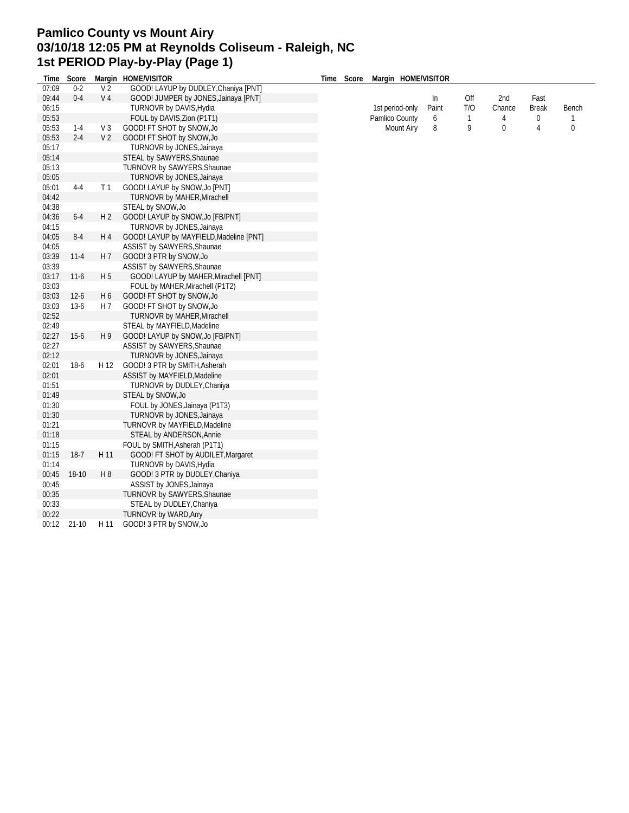## **Pamlico County vs Mount Airy 03/10/18 12:05 PM at Reynolds Coliseum - Raleigh, NC 1st PERIOD Play-by-Play (Page 1)**

| Time  | Score    |                | Margin HOME/VISITOR                     | Time | Score | Margin HOME/VISITOR |       |              |             |              |                |
|-------|----------|----------------|-----------------------------------------|------|-------|---------------------|-------|--------------|-------------|--------------|----------------|
| 07:09 | $0 - 2$  | V <sub>2</sub> | GOOD! LAYUP by DUDLEY, Chaniya [PNT]    |      |       |                     |       |              |             |              |                |
| 09:44 | $0 - 4$  | V <sub>4</sub> | GOOD! JUMPER by JONES, Jainaya [PNT]    |      |       |                     | In    | Off          | 2nd         | Fast         |                |
| 06:15 |          |                | TURNOVR by DAVIS, Hydia                 |      |       | 1st period-only     | Paint | T/O          | Chance      | <b>Break</b> | Bench          |
| 05:53 |          |                | FOUL by DAVIS, Zion (P1T1)              |      |       | Pamlico County      | 6     | $\mathbf{1}$ | 4           | 0            | $\mathbf{1}$   |
| 05:53 | $1 - 4$  | V <sub>3</sub> | GOOD! FT SHOT by SNOW, Jo               |      |       | <b>Mount Airy</b>   | 8     | 9            | $\mathbf 0$ | 4            | $\overline{0}$ |
| 05:53 | $2 - 4$  | V <sub>2</sub> | GOOD! FT SHOT by SNOW, Jo               |      |       |                     |       |              |             |              |                |
| 05:17 |          |                | TURNOVR by JONES, Jainaya               |      |       |                     |       |              |             |              |                |
| 05:14 |          |                | STEAL by SAWYERS, Shaunae               |      |       |                     |       |              |             |              |                |
| 05:13 |          |                | TURNOVR by SAWYERS, Shaunae             |      |       |                     |       |              |             |              |                |
| 05:05 |          |                | TURNOVR by JONES, Jainaya               |      |       |                     |       |              |             |              |                |
| 05:01 | $4 - 4$  | T <sub>1</sub> | GOOD! LAYUP by SNOW, Jo [PNT]           |      |       |                     |       |              |             |              |                |
| 04:42 |          |                | TURNOVR by MAHER, Mirachell             |      |       |                     |       |              |             |              |                |
| 04:38 |          |                | STEAL by SNOW, Jo                       |      |       |                     |       |              |             |              |                |
| 04:36 | $6 - 4$  | H <sub>2</sub> | GOOD! LAYUP by SNOW, Jo [FB/PNT]        |      |       |                     |       |              |             |              |                |
| 04:15 |          |                | TURNOVR by JONES, Jainaya               |      |       |                     |       |              |             |              |                |
| 04:05 | $8-4$    | H 4            | GOOD! LAYUP by MAYFIELD, Madeline [PNT] |      |       |                     |       |              |             |              |                |
| 04:05 |          |                | ASSIST by SAWYERS, Shaunae              |      |       |                     |       |              |             |              |                |
| 03:39 | $11 - 4$ | H 7            | GOOD! 3 PTR by SNOW, Jo                 |      |       |                     |       |              |             |              |                |
| 03:39 |          |                | ASSIST by SAWYERS, Shaunae              |      |       |                     |       |              |             |              |                |
| 03:17 | $11-6$   | H <sub>5</sub> | GOOD! LAYUP by MAHER, Mirachell [PNT]   |      |       |                     |       |              |             |              |                |
| 03:03 |          |                | FOUL by MAHER, Mirachell (P1T2)         |      |       |                     |       |              |             |              |                |
| 03:03 | $12 - 6$ | H 6            | GOOD! FT SHOT by SNOW, Jo               |      |       |                     |       |              |             |              |                |
| 03:03 | $13-6$   | H 7            | GOOD! FT SHOT by SNOW, Jo               |      |       |                     |       |              |             |              |                |
| 02:52 |          |                | TURNOVR by MAHER, Mirachell             |      |       |                     |       |              |             |              |                |
| 02:49 |          |                | STEAL by MAYFIELD, Madeline             |      |       |                     |       |              |             |              |                |
| 02:27 | $15 - 6$ | H <sub>9</sub> | GOOD! LAYUP by SNOW, Jo [FB/PNT]        |      |       |                     |       |              |             |              |                |
| 02:27 |          |                | ASSIST by SAWYERS, Shaunae              |      |       |                     |       |              |             |              |                |
| 02:12 |          |                | TURNOVR by JONES, Jainaya               |      |       |                     |       |              |             |              |                |
| 02:01 | $18-6$   | H 12           | GOOD! 3 PTR by SMITH, Asherah           |      |       |                     |       |              |             |              |                |
| 02:01 |          |                | ASSIST by MAYFIELD, Madeline            |      |       |                     |       |              |             |              |                |
| 01:51 |          |                | TURNOVR by DUDLEY, Chaniya              |      |       |                     |       |              |             |              |                |
| 01:49 |          |                | STEAL by SNOW, Jo                       |      |       |                     |       |              |             |              |                |
| 01:30 |          |                | FOUL by JONES, Jainaya (P1T3)           |      |       |                     |       |              |             |              |                |
| 01:30 |          |                | TURNOVR by JONES, Jainaya               |      |       |                     |       |              |             |              |                |
| 01:21 |          |                | TURNOVR by MAYFIELD, Madeline           |      |       |                     |       |              |             |              |                |
| 01:18 |          |                | STEAL by ANDERSON, Annie                |      |       |                     |       |              |             |              |                |
| 01:15 |          |                | FOUL by SMITH, Asherah (P1T1)           |      |       |                     |       |              |             |              |                |
| 01:15 | $18-7$   | H 11           | GOOD! FT SHOT by AUDILET, Margaret      |      |       |                     |       |              |             |              |                |
| 01:14 |          |                | TURNOVR by DAVIS, Hydia                 |      |       |                     |       |              |             |              |                |
| 00:45 | 18-10    | H <sub>8</sub> | GOOD! 3 PTR by DUDLEY, Chaniya          |      |       |                     |       |              |             |              |                |
| 00:45 |          |                | ASSIST by JONES, Jainaya                |      |       |                     |       |              |             |              |                |
| 00:35 |          |                | TURNOVR by SAWYERS, Shaunae             |      |       |                     |       |              |             |              |                |
| 00:33 |          |                | STEAL by DUDLEY, Chaniya                |      |       |                     |       |              |             |              |                |
| 00:22 |          |                | TURNOVR by WARD, Arry                   |      |       |                     |       |              |             |              |                |
| 00:12 | $21-10$  | H 11           | GOOD! 3 PTR by SNOW, Jo                 |      |       |                     |       |              |             |              |                |
|       |          |                |                                         |      |       |                     |       |              |             |              |                |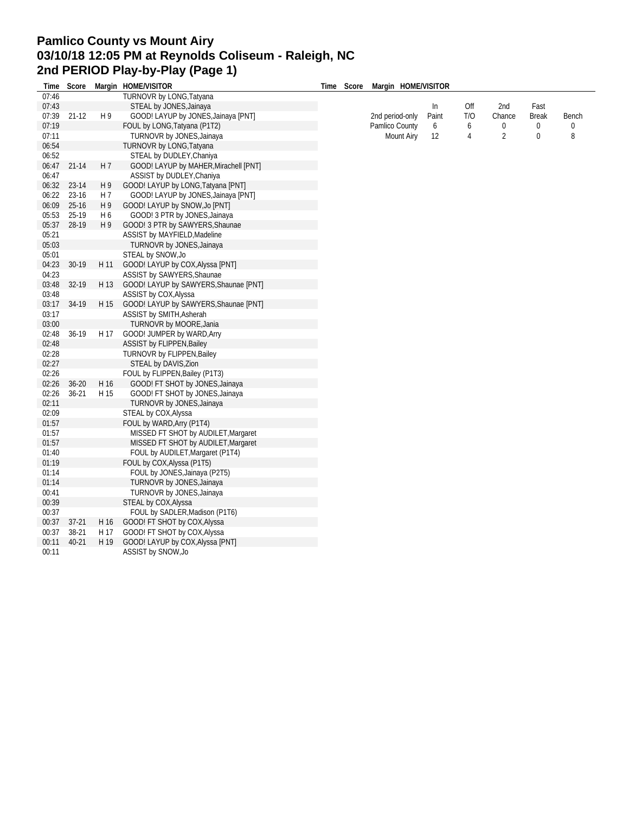## **Pamlico County vs Mount Airy 03/10/18 12:05 PM at Reynolds Coliseum - Raleigh, NC 2nd PERIOD Play-by-Play (Page 1)**

| Time  | Score       |                | Margin HOME/VISITOR                   | Time | Score | Margin HOME/VISITOR |       |     |                |              |       |
|-------|-------------|----------------|---------------------------------------|------|-------|---------------------|-------|-----|----------------|--------------|-------|
| 07:46 |             |                | TURNOVR by LONG, Tatyana              |      |       |                     |       |     |                |              |       |
| 07:43 |             |                | STEAL by JONES, Jainaya               |      |       |                     | In    | Off | 2nd            | Fast         |       |
| 07:39 | $21-12$     | H 9            | GOOD! LAYUP by JONES, Jainaya [PNT]   |      |       | 2nd period-only     | Paint | T/O | Chance         | <b>Break</b> | Bench |
| 07:19 |             |                | FOUL by LONG, Tatyana (P1T2)          |      |       | Pamlico County      | 6     | 6   | $\pmb{0}$      | $\mathbf 0$  | 0     |
| 07:11 |             |                | TURNOVR by JONES, Jainaya             |      |       | <b>Mount Airy</b>   | 12    | 4   | $\overline{2}$ | 0            | 8     |
| 06:54 |             |                | <b>TURNOVR by LONG, Tatyana</b>       |      |       |                     |       |     |                |              |       |
| 06:52 |             |                | STEAL by DUDLEY, Chaniya              |      |       |                     |       |     |                |              |       |
|       | 06:47 21-14 | H 7            | GOOD! LAYUP by MAHER, Mirachell [PNT] |      |       |                     |       |     |                |              |       |
| 06:47 |             |                | ASSIST by DUDLEY, Chaniya             |      |       |                     |       |     |                |              |       |
| 06:32 | 23-14       | H9             | GOOD! LAYUP by LONG, Tatyana [PNT]    |      |       |                     |       |     |                |              |       |
| 06:22 | 23-16       | H 7            | GOOD! LAYUP by JONES, Jainaya [PNT]   |      |       |                     |       |     |                |              |       |
| 06:09 | $25 - 16$   | H 9            | GOOD! LAYUP by SNOW, Jo [PNT]         |      |       |                     |       |     |                |              |       |
| 05:53 | 25-19       | H <sub>6</sub> | GOOD! 3 PTR by JONES, Jainaya         |      |       |                     |       |     |                |              |       |
| 05:37 | 28-19       | H <sub>9</sub> | GOOD! 3 PTR by SAWYERS, Shaunae       |      |       |                     |       |     |                |              |       |
| 05:21 |             |                | ASSIST by MAYFIELD, Madeline          |      |       |                     |       |     |                |              |       |
| 05:03 |             |                | TURNOVR by JONES, Jainaya             |      |       |                     |       |     |                |              |       |
| 05:01 |             |                | STEAL by SNOW, Jo                     |      |       |                     |       |     |                |              |       |
| 04:23 | 30-19       | H 11           | GOOD! LAYUP by COX, Alyssa [PNT]      |      |       |                     |       |     |                |              |       |
| 04:23 |             |                | ASSIST by SAWYERS, Shaunae            |      |       |                     |       |     |                |              |       |
| 03:48 | 32-19       | H 13           | GOOD! LAYUP by SAWYERS, Shaunae [PNT] |      |       |                     |       |     |                |              |       |
| 03:48 |             |                | ASSIST by COX, Alyssa                 |      |       |                     |       |     |                |              |       |
| 03:17 | 34-19       | H 15           | GOOD! LAYUP by SAWYERS, Shaunae [PNT] |      |       |                     |       |     |                |              |       |
| 03:17 |             |                | ASSIST by SMITH, Asherah              |      |       |                     |       |     |                |              |       |
| 03:00 |             |                | TURNOVR by MOORE, Jania               |      |       |                     |       |     |                |              |       |
| 02:48 | 36-19       | H 17           | GOOD! JUMPER by WARD, Arry            |      |       |                     |       |     |                |              |       |
| 02:48 |             |                | ASSIST by FLIPPEN, Bailey             |      |       |                     |       |     |                |              |       |
| 02:28 |             |                | TURNOVR by FLIPPEN, Bailey            |      |       |                     |       |     |                |              |       |
| 02:27 |             |                | STEAL by DAVIS, Zion                  |      |       |                     |       |     |                |              |       |
| 02:26 |             |                | FOUL by FLIPPEN, Bailey (P1T3)        |      |       |                     |       |     |                |              |       |
| 02:26 | $36 - 20$   | H 16           | GOOD! FT SHOT by JONES, Jainaya       |      |       |                     |       |     |                |              |       |
| 02:26 | $36 - 21$   | H 15           | GOOD! FT SHOT by JONES, Jainaya       |      |       |                     |       |     |                |              |       |
| 02:11 |             |                | TURNOVR by JONES, Jainaya             |      |       |                     |       |     |                |              |       |
| 02:09 |             |                | STEAL by COX, Alyssa                  |      |       |                     |       |     |                |              |       |
| 01:57 |             |                | FOUL by WARD, Arry (P1T4)             |      |       |                     |       |     |                |              |       |
| 01:57 |             |                | MISSED FT SHOT by AUDILET, Margaret   |      |       |                     |       |     |                |              |       |
| 01:57 |             |                | MISSED FT SHOT by AUDILET, Margaret   |      |       |                     |       |     |                |              |       |
| 01:40 |             |                | FOUL by AUDILET, Margaret (P1T4)      |      |       |                     |       |     |                |              |       |
| 01:19 |             |                | FOUL by COX, Alyssa (P1T5)            |      |       |                     |       |     |                |              |       |
| 01:14 |             |                | FOUL by JONES, Jainaya (P2T5)         |      |       |                     |       |     |                |              |       |
| 01:14 |             |                | TURNOVR by JONES, Jainaya             |      |       |                     |       |     |                |              |       |
| 00:41 |             |                | TURNOVR by JONES, Jainaya             |      |       |                     |       |     |                |              |       |
| 00:39 |             |                | STEAL by COX, Alyssa                  |      |       |                     |       |     |                |              |       |
| 00:37 |             |                | FOUL by SADLER, Madison (P1T6)        |      |       |                     |       |     |                |              |       |
| 00:37 | $37-21$     | H 16           | GOOD! FT SHOT by COX, Alyssa          |      |       |                     |       |     |                |              |       |
| 00:37 | 38-21       | H 17           | GOOD! FT SHOT by COX, Alyssa          |      |       |                     |       |     |                |              |       |
| 00:11 | 40-21       | H 19           | GOOD! LAYUP by COX, Alyssa [PNT]      |      |       |                     |       |     |                |              |       |
| 00:11 |             |                | ASSIST by SNOW, Jo                    |      |       |                     |       |     |                |              |       |
|       |             |                |                                       |      |       |                     |       |     |                |              |       |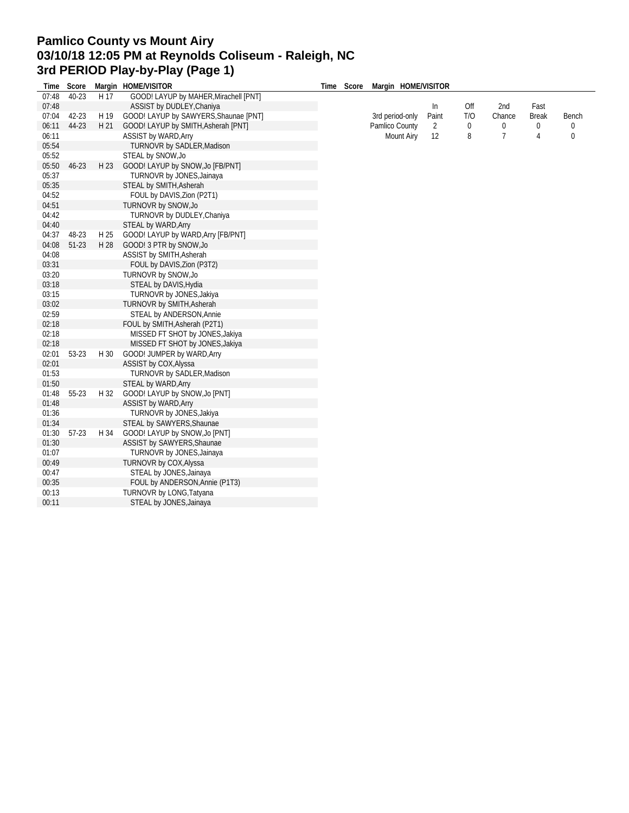## **Pamlico County vs Mount Airy 03/10/18 12:05 PM at Reynolds Coliseum - Raleigh, NC 3rd PERIOD Play-by-Play (Page 1)**

| Time  | Score     |      | Margin HOME/VISITOR                   | Time Score | Margin HOME/VISITOR |       |     |                |              |              |
|-------|-----------|------|---------------------------------------|------------|---------------------|-------|-----|----------------|--------------|--------------|
| 07:48 | 40-23     | H 17 | GOOD! LAYUP by MAHER, Mirachell [PNT] |            |                     |       |     |                |              |              |
| 07:48 |           |      | ASSIST by DUDLEY, Chaniya             |            |                     | In    | Off | 2nd            | Fast         |              |
| 07:04 | 42-23     | H 19 | GOOD! LAYUP by SAWYERS, Shaunae [PNT] |            | 3rd period-only     | Paint | T/O | Chance         | <b>Break</b> | <b>Bench</b> |
| 06:11 | 44-23     | H 21 | GOOD! LAYUP by SMITH, Asherah [PNT]   |            | Pamlico County      | 2     | 0   | 0              | $\mathbf{0}$ | 0            |
| 06:11 |           |      | <b>ASSIST by WARD, Arry</b>           |            | <b>Mount Airy</b>   | 12    | 8   | $\overline{7}$ | 4            | $\mathbf 0$  |
| 05:54 |           |      | TURNOVR by SADLER, Madison            |            |                     |       |     |                |              |              |
| 05:52 |           |      | STEAL by SNOW, Jo                     |            |                     |       |     |                |              |              |
| 05:50 | $46 - 23$ | H 23 | GOOD! LAYUP by SNOW, Jo [FB/PNT]      |            |                     |       |     |                |              |              |
| 05:37 |           |      | TURNOVR by JONES, Jainaya             |            |                     |       |     |                |              |              |
| 05:35 |           |      | STEAL by SMITH, Asherah               |            |                     |       |     |                |              |              |
| 04:52 |           |      | FOUL by DAVIS, Zion (P2T1)            |            |                     |       |     |                |              |              |
| 04:51 |           |      | TURNOVR by SNOW, Jo                   |            |                     |       |     |                |              |              |
| 04:42 |           |      | TURNOVR by DUDLEY, Chaniya            |            |                     |       |     |                |              |              |
| 04:40 |           |      | STEAL by WARD, Arry                   |            |                     |       |     |                |              |              |
| 04:37 | 48-23     | H 25 | GOOD! LAYUP by WARD, Arry [FB/PNT]    |            |                     |       |     |                |              |              |
| 04:08 | $51-23$   | H 28 | GOOD! 3 PTR by SNOW, Jo               |            |                     |       |     |                |              |              |
| 04:08 |           |      | ASSIST by SMITH, Asherah              |            |                     |       |     |                |              |              |
| 03:31 |           |      | FOUL by DAVIS, Zion (P3T2)            |            |                     |       |     |                |              |              |
| 03:20 |           |      | TURNOVR by SNOW, Jo                   |            |                     |       |     |                |              |              |
| 03:18 |           |      | STEAL by DAVIS, Hydia                 |            |                     |       |     |                |              |              |
| 03:15 |           |      | TURNOVR by JONES, Jakiya              |            |                     |       |     |                |              |              |
| 03:02 |           |      | TURNOVR by SMITH, Asherah             |            |                     |       |     |                |              |              |
| 02:59 |           |      | STEAL by ANDERSON, Annie              |            |                     |       |     |                |              |              |
| 02:18 |           |      | FOUL by SMITH, Asherah (P2T1)         |            |                     |       |     |                |              |              |
| 02:18 |           |      | MISSED FT SHOT by JONES, Jakiya       |            |                     |       |     |                |              |              |
| 02:18 |           |      | MISSED FT SHOT by JONES, Jakiya       |            |                     |       |     |                |              |              |
| 02:01 | 53-23     | H 30 | GOOD! JUMPER by WARD, Arry            |            |                     |       |     |                |              |              |
| 02:01 |           |      | ASSIST by COX, Alyssa                 |            |                     |       |     |                |              |              |
| 01:53 |           |      | TURNOVR by SADLER, Madison            |            |                     |       |     |                |              |              |
| 01:50 |           |      | STEAL by WARD, Arry                   |            |                     |       |     |                |              |              |
| 01:48 | 55-23     | H 32 | GOOD! LAYUP by SNOW, Jo [PNT]         |            |                     |       |     |                |              |              |
| 01:48 |           |      | <b>ASSIST by WARD, Arry</b>           |            |                     |       |     |                |              |              |
| 01:36 |           |      | TURNOVR by JONES, Jakiya              |            |                     |       |     |                |              |              |
| 01:34 |           |      | STEAL by SAWYERS, Shaunae             |            |                     |       |     |                |              |              |
| 01:30 | 57-23     | H 34 | GOOD! LAYUP by SNOW, Jo [PNT]         |            |                     |       |     |                |              |              |
| 01:30 |           |      | ASSIST by SAWYERS, Shaunae            |            |                     |       |     |                |              |              |
| 01:07 |           |      | TURNOVR by JONES, Jainaya             |            |                     |       |     |                |              |              |
| 00:49 |           |      | TURNOVR by COX, Alyssa                |            |                     |       |     |                |              |              |
| 00:47 |           |      | STEAL by JONES, Jainaya               |            |                     |       |     |                |              |              |
| 00:35 |           |      | FOUL by ANDERSON, Annie (P1T3)        |            |                     |       |     |                |              |              |
| 00:13 |           |      | TURNOVR by LONG, Tatyana              |            |                     |       |     |                |              |              |
| 00:11 |           |      | STEAL by JONES, Jainaya               |            |                     |       |     |                |              |              |
|       |           |      |                                       |            |                     |       |     |                |              |              |